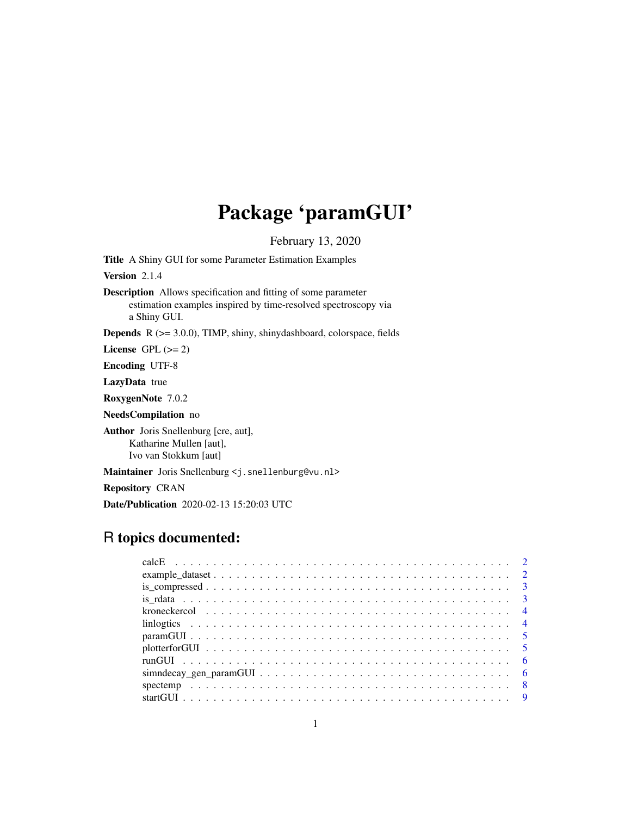## Package 'paramGUI'

February 13, 2020

Title A Shiny GUI for some Parameter Estimation Examples

Version 2.1.4

Description Allows specification and fitting of some parameter estimation examples inspired by time-resolved spectroscopy via a Shiny GUI.

Depends R (>= 3.0.0), TIMP, shiny, shinydashboard, colorspace, fields

License GPL  $(>= 2)$ 

Encoding UTF-8

LazyData true

RoxygenNote 7.0.2

NeedsCompilation no

Author Joris Snellenburg [cre, aut], Katharine Mullen [aut], Ivo van Stokkum [aut]

Maintainer Joris Snellenburg <j.snellenburg@vu.nl>

Repository CRAN

Date/Publication 2020-02-13 15:20:03 UTC

## R topics documented: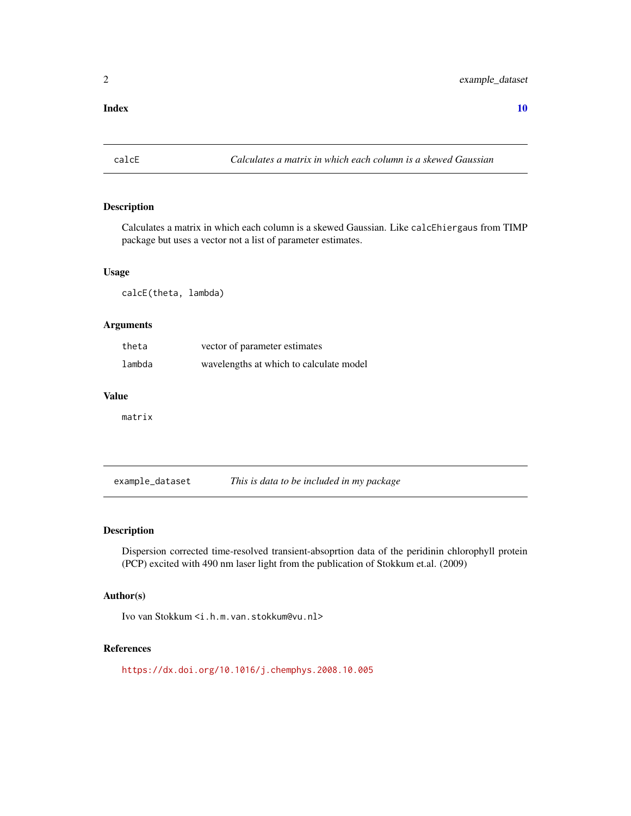#### <span id="page-1-0"></span> $\blacksquare$

calcE *Calculates a matrix in which each column is a skewed Gaussian*

#### Description

Calculates a matrix in which each column is a skewed Gaussian. Like calcEhiergaus from TIMP package but uses a vector not a list of parameter estimates.

#### Usage

calcE(theta, lambda)

#### Arguments

| theta  | vector of parameter estimates           |
|--------|-----------------------------------------|
| lambda | wavelengths at which to calculate model |

#### Value

matrix

example\_dataset *This is data to be included in my package*

#### Description

Dispersion corrected time-resolved transient-absoprtion data of the peridinin chlorophyll protein (PCP) excited with 490 nm laser light from the publication of Stokkum et.al. (2009)

#### Author(s)

Ivo van Stokkum <i.h.m.van.stokkum@vu.nl>

#### References

<https://dx.doi.org/10.1016/j.chemphys.2008.10.005>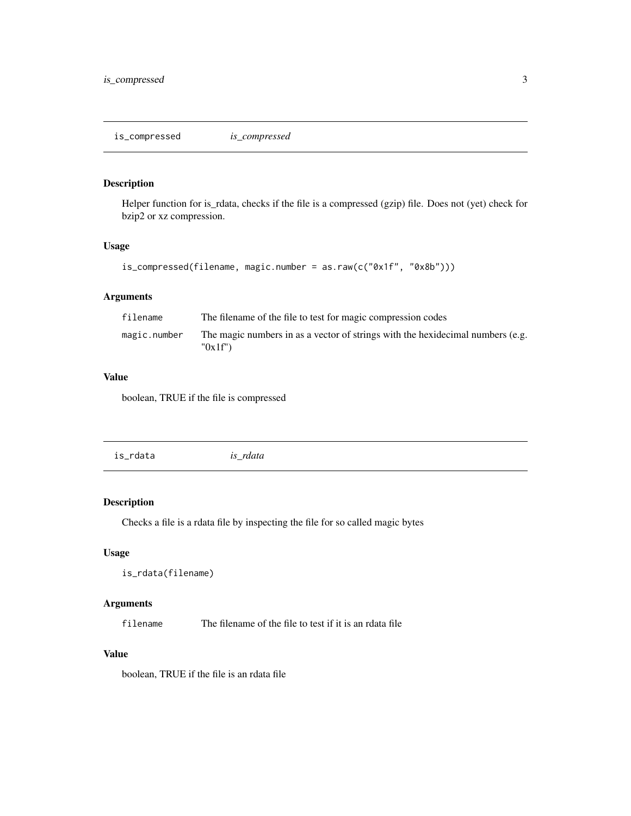<span id="page-2-0"></span>is\_compressed *is\_compressed*

#### Description

Helper function for is\_rdata, checks if the file is a compressed (gzip) file. Does not (yet) check for bzip2 or xz compression.

#### Usage

```
is_compressed(filename, magic.number = as.raw(c("0x1f", "0x8b")))
```
#### Arguments

| filename     | The filename of the file to test for magic compression codes                             |
|--------------|------------------------------------------------------------------------------------------|
| magic.number | The magic numbers in as a vector of strings with the hexidecimal numbers (e.g.<br>"0x1f" |

#### Value

boolean, TRUE if the file is compressed

| is rdata<br>is_rdata |
|----------------------|
|----------------------|

#### Description

Checks a file is a rdata file by inspecting the file for so called magic bytes

#### Usage

```
is_rdata(filename)
```
#### Arguments

filename The filename of the file to test if it is an rdata file

#### Value

boolean, TRUE if the file is an rdata file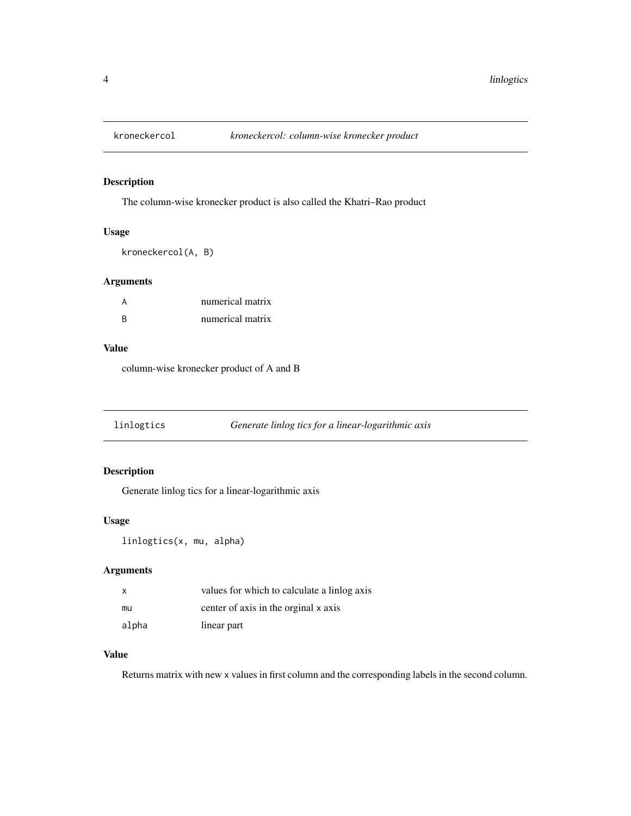<span id="page-3-0"></span>

#### Description

The column-wise kronecker product is also called the Khatri–Rao product

#### Usage

kroneckercol(A, B)

#### Arguments

|   | numerical matrix |
|---|------------------|
| R | numerical matrix |

#### Value

column-wise kronecker product of A and B

| linlogtics | Generate linlog tics for a linear-logarithmic axis |
|------------|----------------------------------------------------|
|            |                                                    |

#### Description

Generate linlog tics for a linear-logarithmic axis

#### Usage

```
linlogtics(x, mu, alpha)
```
#### Arguments

| x     | values for which to calculate a linlog axis |
|-------|---------------------------------------------|
| mu    | center of axis in the orginal x axis        |
| alpha | linear part                                 |

#### Value

Returns matrix with new x values in first column and the corresponding labels in the second column.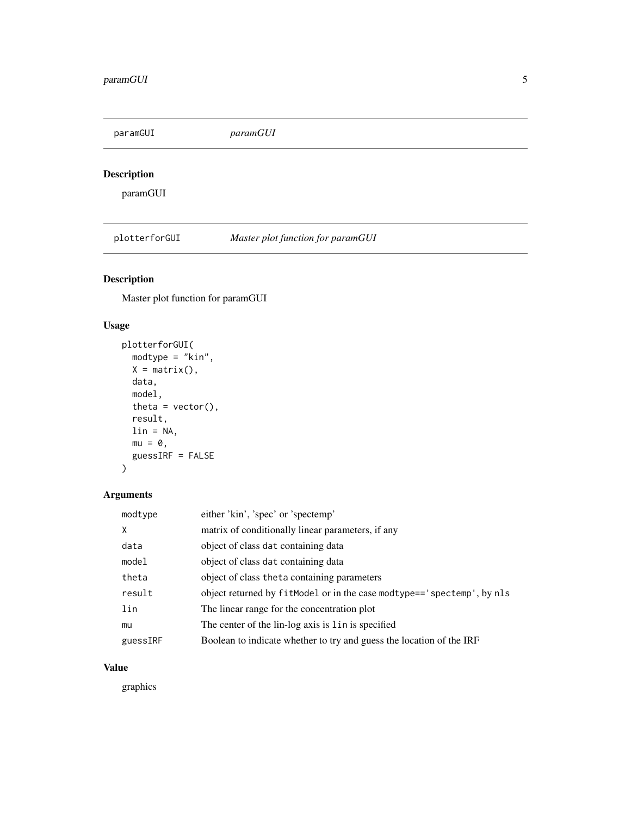<span id="page-4-0"></span>paramGUI *paramGUI*

#### Description

paramGUI

plotterforGUI *Master plot function for paramGUI*

#### Description

Master plot function for paramGUI

#### Usage

```
plotterforGUI(
 modtype = "kin",
 X = matrix(),
 data,
 model,
 theta = vector(),
 result,
 lin = NA,mu = 0,
 guessIRF = FALSE
)
```
#### Arguments

| modtype  | either 'kin', 'spec' or 'spectemp'                                      |
|----------|-------------------------------------------------------------------------|
| X        | matrix of conditionally linear parameters, if any                       |
| data     | object of class dat containing data                                     |
| model    | object of class dat containing data                                     |
| theta    | object of class the ta containing parameters                            |
| result   | object returned by fitModel or in the case modtype== 'spectemp', by nls |
| lin      | The linear range for the concentration plot                             |
| mu       | The center of the lin-log axis is lin is specified                      |
| guessIRF | Boolean to indicate whether to try and guess the location of the IRF    |

#### Value

graphics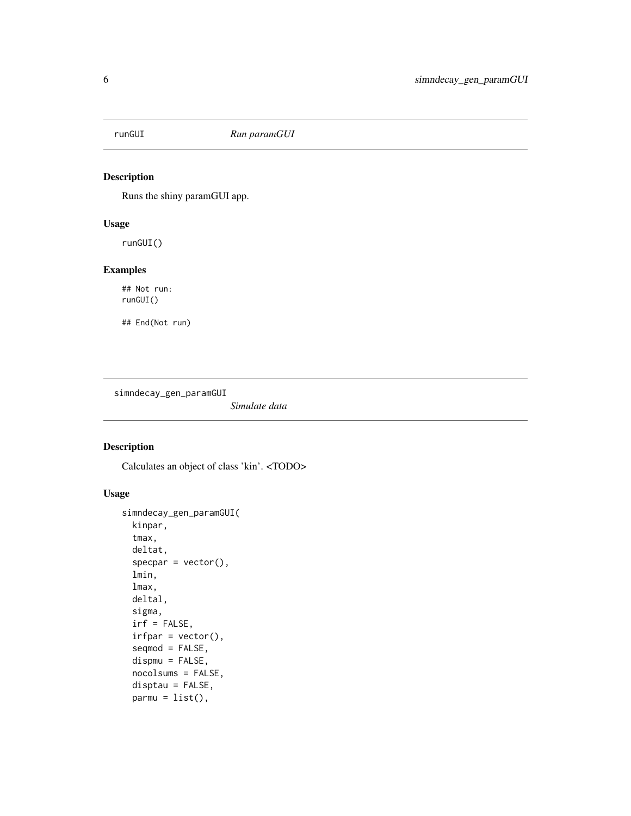<span id="page-5-0"></span>

#### Description

Runs the shiny paramGUI app.

#### Usage

runGUI()

#### Examples

## Not run: runGUI()

## End(Not run)

simndecay\_gen\_paramGUI

*Simulate data*

#### Description

Calculates an object of class 'kin'. <TODO>

#### Usage

```
simndecay_gen_paramGUI(
 kinpar,
  tmax,
 deltat,
  specpar = vector(),lmin,
  lmax,
 deltal,
  sigma,
  irf = FALSE,irfpar = vector(),seqmod = FALSE,
  dispmu = FALSE,
 nocolsums = FALSE,
  disptau = FALSE,
 param = list(),
```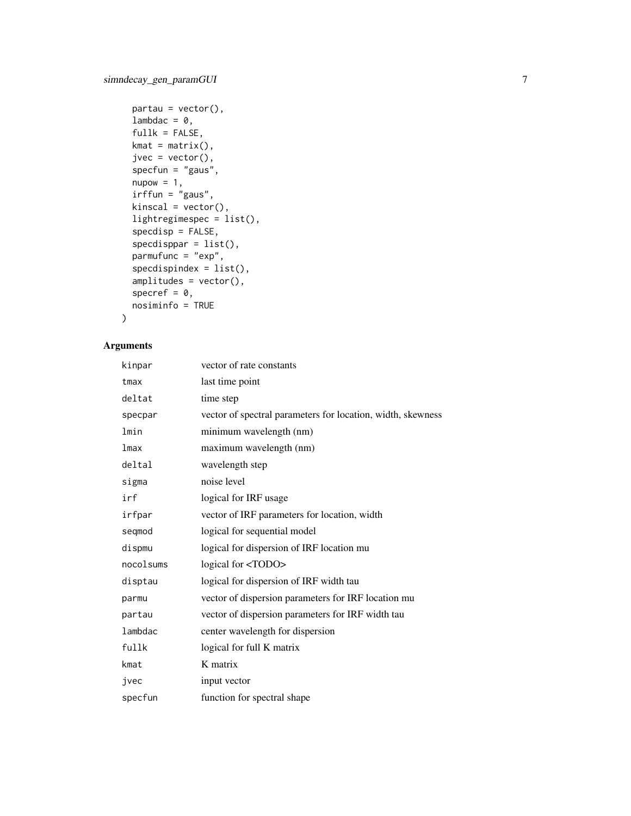```
partau = vector(),lambdac = 0,
 fullk = FALSE,kmat = matrix(),jvec = vector(),
  specfun = "gaus",
 nupow = 1,
 irffun = "gaus",
 kinscal = vector(),
 lightregimespec = list(),
  specdisp = FALSE,
  spectis <i>ppar</i> = list(),parmufunc = "exp",
 specdispindex = list(),
  amplitudes = vector(),
  specref = 0,nosiminfo = TRUE
\mathcal{L}
```
#### Arguments

| kinpar    | vector of rate constants                                    |
|-----------|-------------------------------------------------------------|
| tmax      | last time point                                             |
| deltat    | time step                                                   |
| specpar   | vector of spectral parameters for location, width, skewness |
| lmin      | minimum wavelength (nm)                                     |
| lmax      | maximum wavelength (nm)                                     |
| deltal    | wavelength step                                             |
| sigma     | noise level                                                 |
| irf       | logical for IRF usage                                       |
| irfpar    | vector of IRF parameters for location, width                |
| seqmod    | logical for sequential model                                |
| dispmu    | logical for dispersion of IRF location mu                   |
| nocolsums | logical for <todo></todo>                                   |
| disptau   | logical for dispersion of IRF width tau                     |
| parmu     | vector of dispersion parameters for IRF location mu         |
| partau    | vector of dispersion parameters for IRF width tau           |
| lambdac   | center wavelength for dispersion                            |
| fullk     | logical for full K matrix                                   |
| kmat      | K matrix                                                    |
| jvec      | input vector                                                |
| specfun   | function for spectral shape                                 |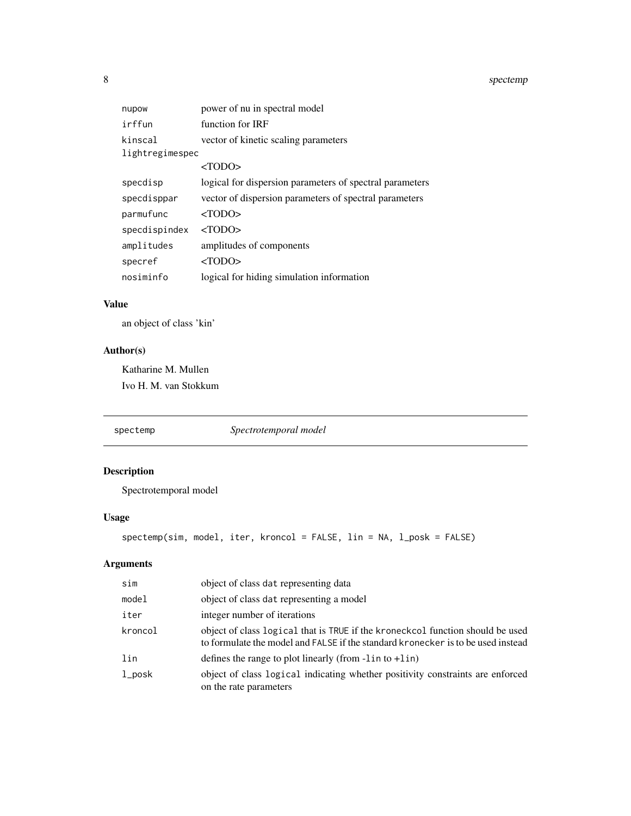<span id="page-7-0"></span>8 spectemp and the spectemp of the spectemp of the spectemp of the spectemp of the spectemp of the spectemp of the spectemp of the spectemp of the spectemp of the spectemp of the spectemp of the spectemp of the spectemp of

| nupow           | power of nu in spectral model                            |
|-----------------|----------------------------------------------------------|
| irffun          | function for IRF                                         |
| kinscal         | vector of kinetic scaling parameters                     |
| lightregimespec |                                                          |
|                 | $<$ TODO $>$                                             |
| specdisp        | logical for dispersion parameters of spectral parameters |
| specdisppar     | vector of dispersion parameters of spectral parameters   |
| parmufunc       | $<$ TODO $>$                                             |
| specdispindex   | $<$ TODO $>$                                             |
| amplitudes      | amplitudes of components                                 |
| specref         | $<$ TODO $>$                                             |
| nosiminfo       | logical for hiding simulation information                |

#### Value

an object of class 'kin'

#### Author(s)

Katharine M. Mullen Ivo H. M. van Stokkum

spectemp *Spectrotemporal model*

Description Spectrotemporal model

```
spectemp(sim, model, iter, kroncol = FALSE, lin = NA, l_posk = FALSE)
```
#### Arguments

Usage

| sim       | object of class dat representing data                                                                                                                              |
|-----------|--------------------------------------------------------------------------------------------------------------------------------------------------------------------|
| model     | object of class dat representing a model                                                                                                                           |
| iter      | integer number of iterations                                                                                                                                       |
| kroncol   | object of class logical that is TRUE if the kroneckcol function should be used<br>to formulate the model and FALSE if the standard kronecker is to be used instead |
| lin       | defines the range to plot linearly (from $-lin$ to $+lin$ )                                                                                                        |
| $1$ _posk | object of class logical indicating whether positivity constraints are enforced<br>on the rate parameters                                                           |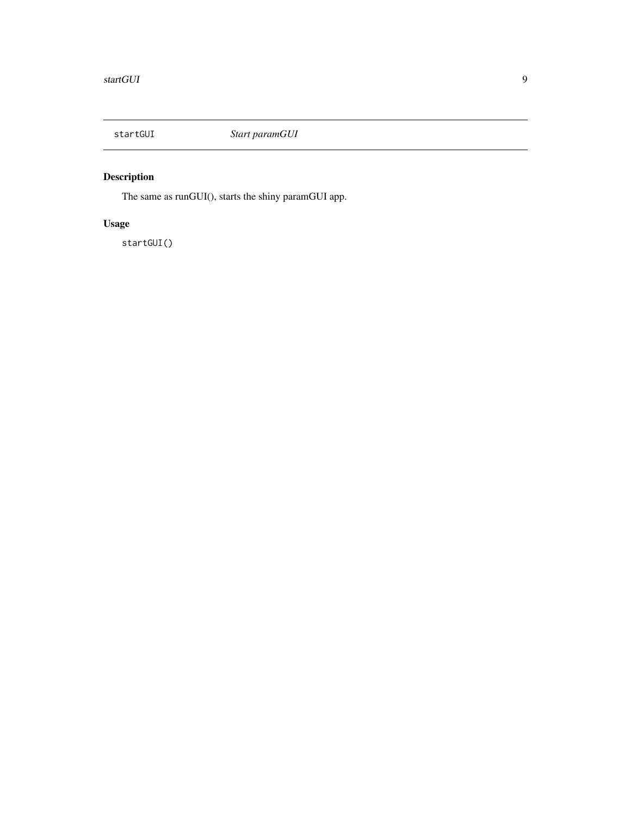<span id="page-8-0"></span>

### Description

The same as runGUI(), starts the shiny paramGUI app.

### Usage

startGUI()